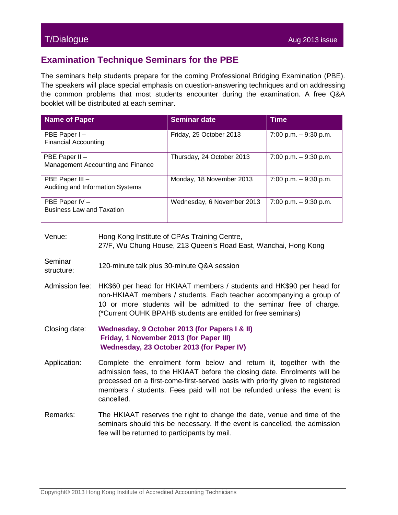## T/Dialogue Aug 2013 issue

## **Examination Technique Seminars for the PBE**

The seminars help students prepare for the coming Professional Bridging Examination (PBE). The speakers will place special emphasis on question-answering techniques and on addressing the common problems that most students encounter during the examination. A free Q&A booklet will be distributed at each seminar.

| <b>Name of Paper</b>                                | <b>Seminar date</b>        | <b>Time</b>              |
|-----------------------------------------------------|----------------------------|--------------------------|
| PBE Paper I-<br><b>Financial Accounting</b>         | Friday, 25 October 2013    | $7:00$ p.m. $-9:30$ p.m. |
| PBE Paper II -<br>Management Accounting and Finance | Thursday, 24 October 2013  | $7:00$ p.m. $-9:30$ p.m. |
| PBE Paper III -<br>Auditing and Information Systems | Monday, 18 November 2013   | 7:00 p.m. $-9:30$ p.m.   |
| PBE Paper IV -<br><b>Business Law and Taxation</b>  | Wednesday, 6 November 2013 | 7:00 p.m. $-9:30$ p.m.   |

- Venue: Hong Kong Institute of CPAs Training Centre, 27/F, Wu Chung House, 213 Queen's Road East, Wanchai, Hong Kong
- Seminar structure: 120-minute talk plus 30-minute Q&A session
- Admission fee: HK\$60 per head for HKIAAT members / students and HK\$90 per head for non-HKIAAT members / students. Each teacher accompanying a group of 10 or more students will be admitted to the seminar free of charge. (\*Current OUHK BPAHB students are entitled for free seminars)
- Closing date: **Wednesday, 9 October 2013 (for Papers I & II) Friday, 1 November 2013 (for Paper III) Wednesday, 23 October 2013 (for Paper IV)**
- Application: Complete the enrolment form below and return it, together with the admission fees, to the HKIAAT before the closing date. Enrolments will be processed on a first-come-first-served basis with priority given to registered members / students. Fees paid will not be refunded unless the event is cancelled.
- Remarks: The HKIAAT reserves the right to change the date, venue and time of the seminars should this be necessary. If the event is cancelled, the admission fee will be returned to participants by mail.